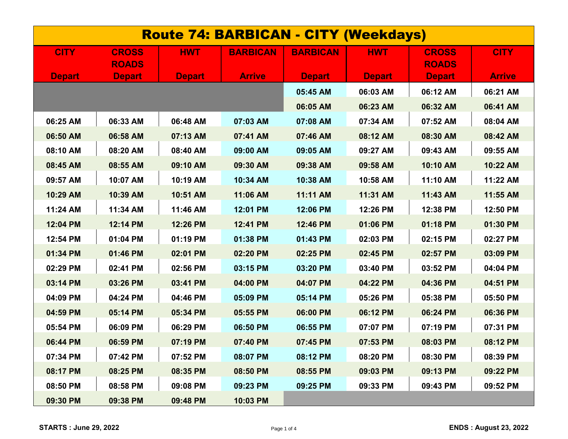| <b>Route 74: BARBICAN - CITY (Weekdays)</b> |               |               |                 |                 |               |               |               |  |
|---------------------------------------------|---------------|---------------|-----------------|-----------------|---------------|---------------|---------------|--|
| <b>CITY</b>                                 | <b>CROSS</b>  | <b>HWT</b>    | <b>BARBICAN</b> | <b>BARBICAN</b> | <b>HWT</b>    | <b>CROSS</b>  | <b>CITY</b>   |  |
|                                             | <b>ROADS</b>  |               |                 |                 |               | <b>ROADS</b>  |               |  |
| <b>Depart</b>                               | <b>Depart</b> | <b>Depart</b> | <b>Arrive</b>   | <b>Depart</b>   | <b>Depart</b> | <b>Depart</b> | <b>Arrive</b> |  |
|                                             |               |               |                 | 05:45 AM        | 06:03 AM      | 06:12 AM      | 06:21 AM      |  |
|                                             |               |               |                 | 06:05 AM        | 06:23 AM      | 06:32 AM      | 06:41 AM      |  |
| 06:25 AM                                    | 06:33 AM      | 06:48 AM      | 07:03 AM        | 07:08 AM        | 07:34 AM      | 07:52 AM      | 08:04 AM      |  |
| 06:50 AM                                    | 06:58 AM      | 07:13 AM      | 07:41 AM        | 07:46 AM        | 08:12 AM      | 08:30 AM      | 08:42 AM      |  |
| 08:10 AM                                    | 08:20 AM      | 08:40 AM      | 09:00 AM        | 09:05 AM        | 09:27 AM      | 09:43 AM      | 09:55 AM      |  |
| 08:45 AM                                    | 08:55 AM      | 09:10 AM      | 09:30 AM        | 09:38 AM        | 09:58 AM      | 10:10 AM      | 10:22 AM      |  |
| 09:57 AM                                    | 10:07 AM      | 10:19 AM      | 10:34 AM        | 10:38 AM        | 10:58 AM      | 11:10 AM      | 11:22 AM      |  |
| 10:29 AM                                    | 10:39 AM      | 10:51 AM      | 11:06 AM        | 11:11 AM        | 11:31 AM      | 11:43 AM      | 11:55 AM      |  |
| 11:24 AM                                    | 11:34 AM      | 11:46 AM      | 12:01 PM        | 12:06 PM        | 12:26 PM      | 12:38 PM      | 12:50 PM      |  |
| 12:04 PM                                    | 12:14 PM      | 12:26 PM      | 12:41 PM        | 12:46 PM        | 01:06 PM      | 01:18 PM      | 01:30 PM      |  |
| 12:54 PM                                    | 01:04 PM      | 01:19 PM      | 01:38 PM        | 01:43 PM        | 02:03 PM      | 02:15 PM      | 02:27 PM      |  |
| 01:34 PM                                    | 01:46 PM      | 02:01 PM      | 02:20 PM        | 02:25 PM        | 02:45 PM      | 02:57 PM      | 03:09 PM      |  |
| 02:29 PM                                    | 02:41 PM      | 02:56 PM      | 03:15 PM        | 03:20 PM        | 03:40 PM      | 03:52 PM      | 04:04 PM      |  |
| 03:14 PM                                    | 03:26 PM      | 03:41 PM      | 04:00 PM        | 04:07 PM        | 04:22 PM      | 04:36 PM      | 04:51 PM      |  |
| 04:09 PM                                    | 04:24 PM      | 04:46 PM      | 05:09 PM        | 05:14 PM        | 05:26 PM      | 05:38 PM      | 05:50 PM      |  |
| 04:59 PM                                    | 05:14 PM      | 05:34 PM      | 05:55 PM        | 06:00 PM        | 06:12 PM      | 06:24 PM      | 06:36 PM      |  |
| 05:54 PM                                    | 06:09 PM      | 06:29 PM      | 06:50 PM        | 06:55 PM        | 07:07 PM      | 07:19 PM      | 07:31 PM      |  |
| 06:44 PM                                    | 06:59 PM      | 07:19 PM      | 07:40 PM        | 07:45 PM        | 07:53 PM      | 08:03 PM      | 08:12 PM      |  |
| 07:34 PM                                    | 07:42 PM      | 07:52 PM      | 08:07 PM        | 08:12 PM        | 08:20 PM      | 08:30 PM      | 08:39 PM      |  |
| 08:17 PM                                    | 08:25 PM      | 08:35 PM      | 08:50 PM        | 08:55 PM        | 09:03 PM      | 09:13 PM      | 09:22 PM      |  |
| 08:50 PM                                    | 08:58 PM      | 09:08 PM      | 09:23 PM        | 09:25 PM        | 09:33 PM      | 09:43 PM      | 09:52 PM      |  |
| 09:30 PM                                    | 09:38 PM      | 09:48 PM      | 10:03 PM        |                 |               |               |               |  |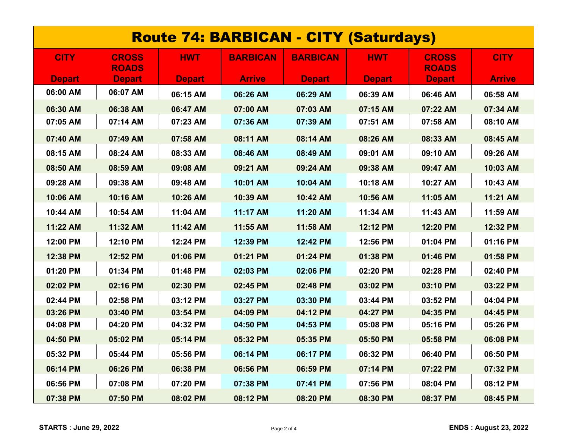| <b>Route 74: BARBICAN - CITY (Saturdays)</b> |                              |               |                 |                 |               |                              |               |  |
|----------------------------------------------|------------------------------|---------------|-----------------|-----------------|---------------|------------------------------|---------------|--|
| <b>CITY</b>                                  | <b>CROSS</b><br><b>ROADS</b> | <b>HWT</b>    | <b>BARBICAN</b> | <b>BARBICAN</b> | <b>HWT</b>    | <b>CROSS</b><br><b>ROADS</b> | <b>CITY</b>   |  |
| <b>Depart</b>                                | <b>Depart</b>                | <b>Depart</b> | <b>Arrive</b>   | <b>Depart</b>   | <b>Depart</b> | <b>Depart</b>                | <b>Arrive</b> |  |
| 06:00 AM                                     | 06:07 AM                     | 06:15 AM      | 06:26 AM        | 06:29 AM        | 06:39 AM      | 06:46 AM                     | 06:58 AM      |  |
| 06:30 AM                                     | 06:38 AM                     | 06:47 AM      | 07:00 AM        | 07:03 AM        | 07:15 AM      | 07:22 AM                     | 07:34 AM      |  |
| 07:05 AM                                     | 07:14 AM                     | 07:23 AM      | 07:36 AM        | 07:39 AM        | 07:51 AM      | 07:58 AM                     | 08:10 AM      |  |
| 07:40 AM                                     | 07:49 AM                     | 07:58 AM      | 08:11 AM        | 08:14 AM        | 08:26 AM      | 08:33 AM                     | 08:45 AM      |  |
| 08:15 AM                                     | 08:24 AM                     | 08:33 AM      | 08:46 AM        | 08:49 AM        | 09:01 AM      | 09:10 AM                     | 09:26 AM      |  |
| 08:50 AM                                     | 08:59 AM                     | 09:08 AM      | 09:21 AM        | 09:24 AM        | 09:38 AM      | 09:47 AM                     | 10:03 AM      |  |
| 09:28 AM                                     | 09:38 AM                     | 09:48 AM      | 10:01 AM        | 10:04 AM        | 10:18 AM      | 10:27 AM                     | 10:43 AM      |  |
| 10:06 AM                                     | 10:16 AM                     | 10:26 AM      | 10:39 AM        | 10:42 AM        | 10:56 AM      | 11:05 AM                     | 11:21 AM      |  |
| 10:44 AM                                     | 10:54 AM                     | 11:04 AM      | 11:17 AM        | 11:20 AM        | 11:34 AM      | 11:43 AM                     | 11:59 AM      |  |
| 11:22 AM                                     | 11:32 AM                     | 11:42 AM      | 11:55 AM        | 11:58 AM        | 12:12 PM      | 12:20 PM                     | 12:32 PM      |  |
| 12:00 PM                                     | 12:10 PM                     | 12:24 PM      | 12:39 PM        | 12:42 PM        | 12:56 PM      | 01:04 PM                     | 01:16 PM      |  |
| 12:38 PM                                     | 12:52 PM                     | 01:06 PM      | 01:21 PM        | 01:24 PM        | 01:38 PM      | 01:46 PM                     | 01:58 PM      |  |
| 01:20 PM                                     | 01:34 PM                     | 01:48 PM      | 02:03 PM        | 02:06 PM        | 02:20 PM      | 02:28 PM                     | 02:40 PM      |  |
| 02:02 PM                                     | 02:16 PM                     | 02:30 PM      | 02:45 PM        | 02:48 PM        | 03:02 PM      | 03:10 PM                     | 03:22 PM      |  |
| 02:44 PM                                     | 02:58 PM                     | 03:12 PM      | 03:27 PM        | 03:30 PM        | 03:44 PM      | 03:52 PM                     | 04:04 PM      |  |
| 03:26 PM                                     | 03:40 PM                     | 03:54 PM      | 04:09 PM        | 04:12 PM        | 04:27 PM      | 04:35 PM                     | 04:45 PM      |  |
| 04:08 PM                                     | 04:20 PM                     | 04:32 PM      | 04:50 PM        | 04:53 PM        | 05:08 PM      | 05:16 PM                     | 05:26 PM      |  |
| 04:50 PM                                     | 05:02 PM                     | 05:14 PM      | 05:32 PM        | 05:35 PM        | 05:50 PM      | 05:58 PM                     | 06:08 PM      |  |
| 05:32 PM                                     | 05:44 PM                     | 05:56 PM      | 06:14 PM        | 06:17 PM        | 06:32 PM      | 06:40 PM                     | 06:50 PM      |  |
| 06:14 PM                                     | 06:26 PM                     | 06:38 PM      | 06:56 PM        | 06:59 PM        | 07:14 PM      | 07:22 PM                     | 07:32 PM      |  |
| 06:56 PM                                     | 07:08 PM                     | 07:20 PM      | 07:38 PM        | 07:41 PM        | 07:56 PM      | 08:04 PM                     | 08:12 PM      |  |
| 07:38 PM                                     | 07:50 PM                     | 08:02 PM      | 08:12 PM        | 08:20 PM        | 08:30 PM      | 08:37 PM                     | 08:45 PM      |  |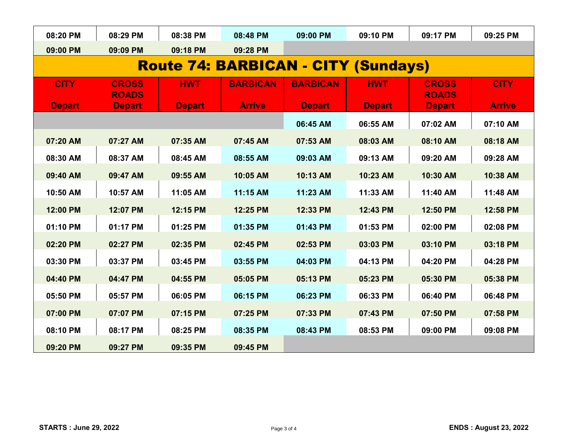| 08:20 PM                                   | 08:29 PM                     | 08:38 PM      | 08:48 PM        | 09:00 PM        | 09:10 PM      | 09:17 PM                     | 09:25 PM      |  |  |
|--------------------------------------------|------------------------------|---------------|-----------------|-----------------|---------------|------------------------------|---------------|--|--|
| 09:00 PM                                   | 09:09 PM                     | 09:18 PM      | 09:28 PM        |                 |               |                              |               |  |  |
| <b>Route 74: BARBICAN - CITY (Sundays)</b> |                              |               |                 |                 |               |                              |               |  |  |
| <b>CITY</b>                                | <b>CROSS</b><br><b>ROADS</b> | <b>HWT</b>    | <b>BARBICAN</b> | <b>BARBICAN</b> | <b>HWT</b>    | <b>CROSS</b><br><b>ROADS</b> | <b>CITY</b>   |  |  |
| <b>Depart</b>                              | <b>Depart</b>                | <b>Depart</b> | <b>Arrive</b>   | <b>Depart</b>   | <b>Depart</b> | <b>Depart</b>                | <b>Arrive</b> |  |  |
|                                            |                              |               |                 | 06:45 AM        | 06:55 AM      | 07:02 AM                     | 07:10 AM      |  |  |
| 07:20 AM                                   | 07:27 AM                     | 07:35 AM      | 07:45 AM        | 07:53 AM        | 08:03 AM      | 08:10 AM                     | 08:18 AM      |  |  |
| 08:30 AM                                   | 08:37 AM                     | 08:45 AM      | 08:55 AM        | 09:03 AM        | 09:13 AM      | 09:20 AM                     | 09:28 AM      |  |  |
| 09:40 AM                                   | 09:47 AM                     | 09:55 AM      | 10:05 AM        | 10:13 AM        | 10:23 AM      | 10:30 AM                     | 10:38 AM      |  |  |
| 10:50 AM                                   | 10:57 AM                     | 11:05 AM      | 11:15 AM        | 11:23 AM        | 11:33 AM      | 11:40 AM                     | 11:48 AM      |  |  |
| 12:00 PM                                   | 12:07 PM                     | 12:15 PM      | 12:25 PM        | 12:33 PM        | 12:43 PM      | 12:50 PM                     | 12:58 PM      |  |  |
| 01:10 PM                                   | 01:17 PM                     | 01:25 PM      | 01:35 PM        | 01:43 PM        | 01:53 PM      | 02:00 PM                     | 02:08 PM      |  |  |
| 02:20 PM                                   | 02:27 PM                     | 02:35 PM      | 02:45 PM        | 02:53 PM        | 03:03 PM      | 03:10 PM                     | 03:18 PM      |  |  |
| 03:30 PM                                   | 03:37 PM                     | 03:45 PM      | 03:55 PM        | 04:03 PM        | 04:13 PM      | 04:20 PM                     | 04:28 PM      |  |  |
| 04:40 PM                                   | 04:47 PM                     | 04:55 PM      | 05:05 PM        | 05:13 PM        | 05:23 PM      | 05:30 PM                     | 05:38 PM      |  |  |
| 05:50 PM                                   | 05:57 PM                     | 06:05 PM      | 06:15 PM        | 06:23 PM        | 06:33 PM      | 06:40 PM                     | 06:48 PM      |  |  |
| 07:00 PM                                   | 07:07 PM                     | 07:15 PM      | 07:25 PM        | 07:33 PM        | 07:43 PM      | 07:50 PM                     | 07:58 PM      |  |  |
| 08:10 PM                                   | 08:17 PM                     | 08:25 PM      | 08:35 PM        | 08:43 PM        | 08:53 PM      | 09:00 PM                     | 09:08 PM      |  |  |
| 09:20 PM                                   | 09:27 PM                     | 09:35 PM      | 09:45 PM        |                 |               |                              |               |  |  |